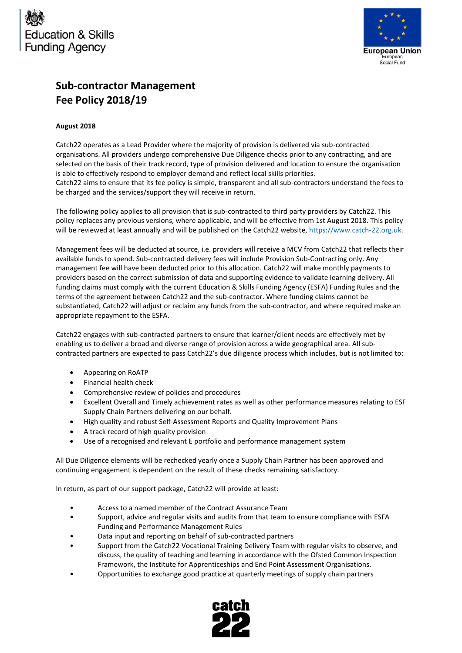



# **Sub-contractor Management Fee Policy 2018/19**

## **August 2018**

Catch22 operates as a Lead Provider where the majority of provision is delivered via sub-contracted organisations. All providers undergo comprehensive Due Diligence checks prior to any contracting, and are selected on the basis of their track record, type of provision delivered and location to ensure the organisation is able to effectively respond to employer demand and reflect local skills priorities. Catch22 aims to ensure that its fee policy is simple, transparent and all sub-contractors understand the fees to be charged and the services/support they will receive in return.

The following policy applies to all provision that is sub-contracted to third party providers by Catch22. This policy replaces any previous versions, where applicable, and will be effective from 1st August 2018. This policy will be reviewed at least annually and will be published on the Catch22 website[, https://www.catch-22.org.uk.](https://www.catch-22.org.uk/)

Management fees will be deducted at source, i.e. providers will receive a MCV from Catch22 that reflects their available funds to spend. Sub-contracted delivery fees will include Provision Sub-Contracting only. Any management fee will have been deducted prior to this allocation. Catch22 will make monthly payments to providers based on the correct submission of data and supporting evidence to validate learning delivery. All funding claims must comply with the current Education & Skills Funding Agency (ESFA) Funding Rules and the terms of the agreement between Catch22 and the sub-contractor. Where funding claims cannot be substantiated, Catch22 will adjust or reclaim any funds from the sub-contractor, and where required make an appropriate repayment to the ESFA.

Catch22 engages with sub-contracted partners to ensure that learner/client needs are effectively met by enabling us to deliver a broad and diverse range of provision across a wide geographical area. All subcontracted partners are expected to pass Catch22's due diligence process which includes, but is not limited to:

- Appearing on RoATP
- Financial health check
- Comprehensive review of policies and procedures
- Excellent Overall and Timely achievement rates as well as other performance measures relating to ESF Supply Chain Partners delivering on our behalf.
- High quality and robust Self-Assessment Reports and Quality Improvement Plans
- A track record of high quality provision
- Use of a recognised and relevant E portfolio and performance management system

All Due Diligence elements will be rechecked yearly once a Supply Chain Partner has been approved and continuing engagement is dependent on the result of these checks remaining satisfactory.

In return, as part of our support package, Catch22 will provide at least:

- Access to a named member of the Contract Assurance Team
- Support, advice and regular visits and audits from that team to ensure compliance with ESFA Funding and Performance Management Rules
- Data input and reporting on behalf of sub-contracted partners
- Support from the Catch22 Vocational Training Delivery Team with regular visits to observe, and discuss, the quality of teaching and learning in accordance with the Ofsted Common Inspection Framework, the Institute for Apprenticeships and End Point Assessment Organisations.
- Opportunities to exchange good practice at quarterly meetings of supply chain partners